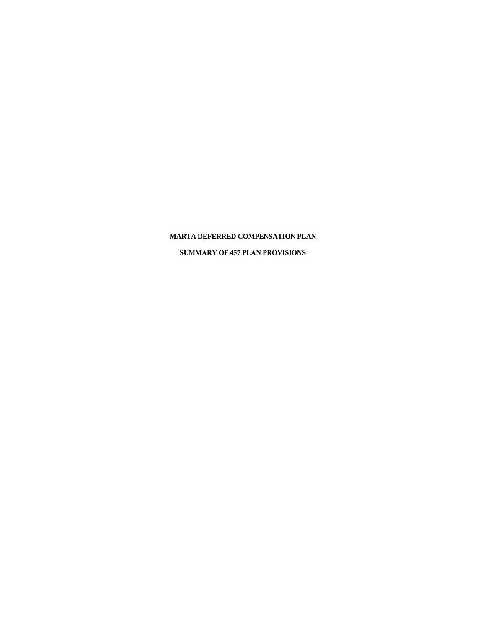# **MARTA DEFERRED COMPENSATION PLAN**

**SUMMARY OF 457 PLAN PROVISIONS**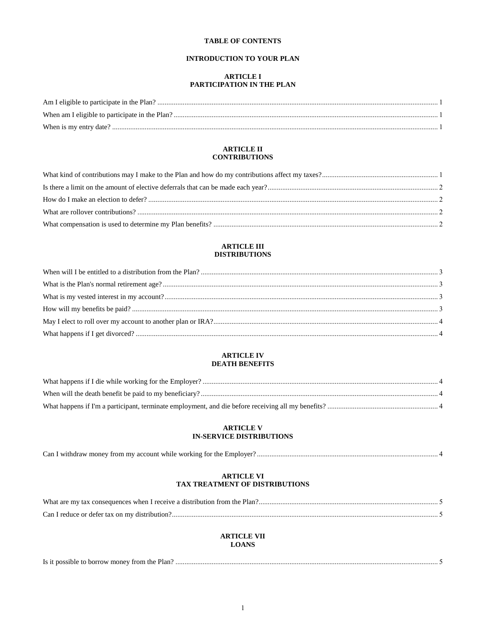# **TABLE OF CONTENTS**

## **INTRODUCTION TO YOUR PLAN**

### **ARTICLE I** PARTICIPATION IN THE PLAN

## **ARTICLE II CONTRIBUTIONS**

#### **ARTICLE III DISTRIBUTIONS**

## **ARTICLE IV DEATH BENEFITS**

## **ARTICLE V IN-SERVICE DISTRIBUTIONS**

| Can | . withdraw money . | trom my account while working for the t |  |  |
|-----|--------------------|-----------------------------------------|--|--|
|     |                    |                                         |  |  |

## **ARTICLE VI** TAX TREATMENT OF DISTRIBUTIONS

| What are my tax consequences when I receive a distribution from the Plan?. |  |
|----------------------------------------------------------------------------|--|
|                                                                            |  |

## **ARTICLE VII LOANS**

| Is it possible to borrow money from the Plan? |  |
|-----------------------------------------------|--|
|                                               |  |
|                                               |  |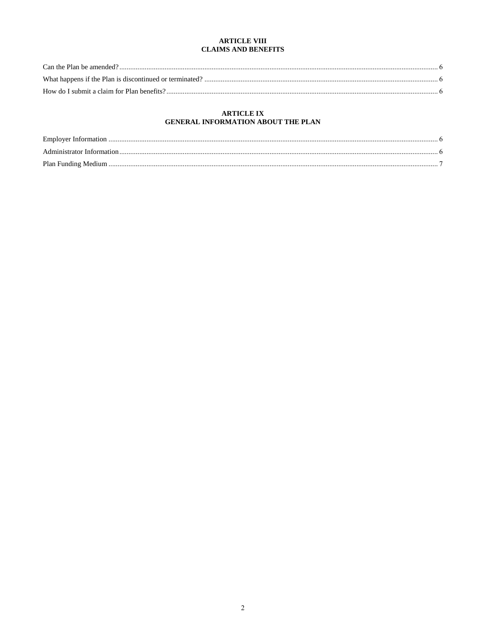## **ARTICLE VIII CLAIMS AND BENEFITS**

# **ARTICLE IX** GENERAL INFORMATION ABOUT THE PLAN

| Administrator Information |  |
|---------------------------|--|
|                           |  |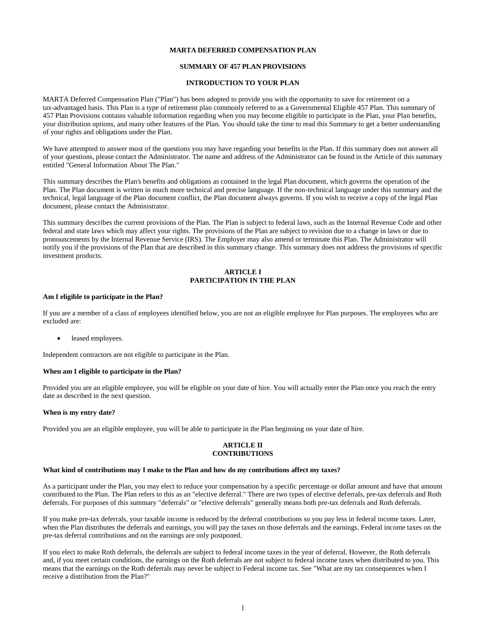#### **MARTA DEFERRED COMPENSATION PLAN**

#### **SUMMARY OF 457 PLAN PROVISIONS**

#### **INTRODUCTION TO YOUR PLAN**

MARTA Deferred Compensation Plan ("Plan") has been adopted to provide you with the opportunity to save for retirement on a tax-advantaged basis. This Plan is a type of retirement plan commonly referred to as a Governmental Eligible 457 Plan. This summary of 457 Plan Provisions contains valuable information regarding when you may become eligible to participate in the Plan, your Plan benefits, your distribution options, and many other features of the Plan. You should take the time to read this Summary to get a better understanding of your rights and obligations under the Plan.

We have attempted to answer most of the questions you may have regarding your benefits in the Plan. If this summary does not answer all of your questions, please contact the Administrator. The name and address of the Administrator can be found in the Article of this summary entitled "General Information About The Plan."

This summary describes the Plan's benefits and obligations as contained in the legal Plan document, which governs the operation of the Plan. The Plan document is written in much more technical and precise language. If the non-technical language under this summary and the technical, legal language of the Plan document conflict, the Plan document always governs. If you wish to receive a copy of the legal Plan document, please contact the Administrator.

This summary describes the current provisions of the Plan. The Plan is subject to federal laws, such as the Internal Revenue Code and other federal and state laws which may affect your rights. The provisions of the Plan are subject to revision due to a change in laws or due to pronouncements by the Internal Revenue Service (IRS). The Employer may also amend or terminate this Plan. The Administrator will notify you if the provisions of the Plan that are described in this summary change. This summary does not address the provisions of specific investment products.

### **ARTICLE I PARTICIPATION IN THE PLAN**

#### **Am I eligible to participate in the Plan?**

If you are a member of a class of employees identified below, you are not an eligible employee for Plan purposes. The employees who are excluded are:

leased employees.

Independent contractors are not eligible to participate in the Plan.

## **When am I eligible to participate in the Plan?**

Provided you are an eligible employee, you will be eligible on your date of hire. You will actually enter the Plan once you reach the entry date as described in the next question.

#### **When is my entry date?**

Provided you are an eligible employee, you will be able to participate in the Plan beginning on your date of hire.

#### **ARTICLE II CONTRIBUTIONS**

#### **What kind of contributions may I make to the Plan and how do my contributions affect my taxes?**

As a participant under the Plan, you may elect to reduce your compensation by a specific percentage or dollar amount and have that amount contributed to the Plan. The Plan refers to this as an "elective deferral." There are two types of elective deferrals, pre-tax deferrals and Roth deferrals. For purposes of this summary "deferrals" or "elective deferrals" generally means both pre-tax deferrals and Roth deferrals.

If you make pre-tax deferrals, your taxable income is reduced by the deferral contributions so you pay less in federal income taxes. Later, when the Plan distributes the deferrals and earnings, you will pay the taxes on those deferrals and the earnings. Federal income taxes on the pre-tax deferral contributions and on the earnings are only postponed.

If you elect to make Roth deferrals, the deferrals are subject to federal income taxes in the year of deferral. However, the Roth deferrals and, if you meet certain conditions, the earnings on the Roth deferrals are not subject to federal income taxes when distributed to you. This means that the earnings on the Roth deferrals may never be subject to Federal income tax. See "What are my tax consequences when I receive a distribution from the Plan?"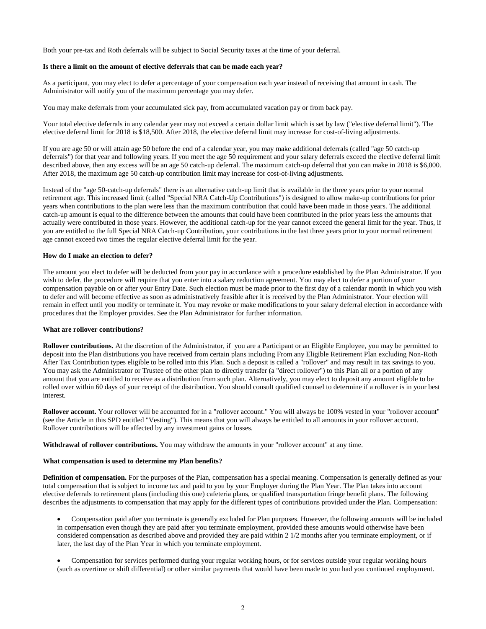Both your pre-tax and Roth deferrals will be subject to Social Security taxes at the time of your deferral.

#### **Is there a limit on the amount of elective deferrals that can be made each year?**

As a participant, you may elect to defer a percentage of your compensation each year instead of receiving that amount in cash. The Administrator will notify you of the maximum percentage you may defer.

You may make deferrals from your accumulated sick pay, from accumulated vacation pay or from back pay.

Your total elective deferrals in any calendar year may not exceed a certain dollar limit which is set by law ("elective deferral limit"). The elective deferral limit for 2018 is \$18,500. After 2018, the elective deferral limit may increase for cost-of-living adjustments.

If you are age 50 or will attain age 50 before the end of a calendar year, you may make additional deferrals (called "age 50 catch-up deferrals") for that year and following years. If you meet the age 50 requirement and your salary deferrals exceed the elective deferral limit described above, then any excess will be an age 50 catch-up deferral. The maximum catch-up deferral that you can make in 2018 is \$6,000. After 2018, the maximum age 50 catch-up contribution limit may increase for cost-of-living adjustments.

Instead of the "age 50-catch-up deferrals" there is an alternative catch-up limit that is available in the three years prior to your normal retirement age. This increased limit (called "Special NRA Catch-Up Contributions") is designed to allow make-up contributions for prior years when contributions to the plan were less than the maximum contribution that could have been made in those years. The additional catch-up amount is equal to the difference between the amounts that could have been contributed in the prior years less the amounts that actually were contributed in those years. However, the additional catch-up for the year cannot exceed the general limit for the year. Thus, if you are entitled to the full Special NRA Catch-up Contribution, your contributions in the last three years prior to your normal retirement age cannot exceed two times the regular elective deferral limit for the year.

#### **How do I make an election to defer?**

The amount you elect to defer will be deducted from your pay in accordance with a procedure established by the Plan Administrator. If you wish to defer, the procedure will require that you enter into a salary reduction agreement. You may elect to defer a portion of your compensation payable on or after your Entry Date. Such election must be made prior to the first day of a calendar month in which you wish to defer and will become effective as soon as administratively feasible after it is received by the Plan Administrator. Your election will remain in effect until you modify or terminate it. You may revoke or make modifications to your salary deferral election in accordance with procedures that the Employer provides. See the Plan Administrator for further information.

#### **What are rollover contributions?**

**Rollover contributions.** At the discretion of the Administrator, if you are a Participant or an Eligible Employee, you may be permitted to deposit into the Plan distributions you have received from certain plans including From any Eligible Retirement Plan excluding Non-Roth After Tax Contribution types eligible to be rolled into this Plan. Such a deposit is called a "rollover" and may result in tax savings to you. You may ask the Administrator or Trustee of the other plan to directly transfer (a "direct rollover") to this Plan all or a portion of any amount that you are entitled to receive as a distribution from such plan. Alternatively, you may elect to deposit any amount eligible to be rolled over within 60 days of your receipt of the distribution. You should consult qualified counsel to determine if a rollover is in your best interest.

Rollover account. Your rollover will be accounted for in a "rollover account." You will always be 100% vested in your "rollover account" (see the Article in this SPD entitled "Vesting"). This means that you will always be entitled to all amounts in your rollover account. Rollover contributions will be affected by any investment gains or losses.

**Withdrawal of rollover contributions.** You may withdraw the amounts in your "rollover account" at any time.

#### **What compensation is used to determine my Plan benefits?**

**Definition of compensation.** For the purposes of the Plan, compensation has a special meaning. Compensation is generally defined as your total compensation that is subject to income tax and paid to you by your Employer during the Plan Year. The Plan takes into account elective deferrals to retirement plans (including this one) cafeteria plans, or qualified transportation fringe benefit plans. The following describes the adjustments to compensation that may apply for the different types of contributions provided under the Plan. Compensation:

 Compensation paid after you terminate is generally excluded for Plan purposes. However, the following amounts will be included in compensation even though they are paid after you terminate employment, provided these amounts would otherwise have been considered compensation as described above and provided they are paid within 2 1/2 months after you terminate employment, or if later, the last day of the Plan Year in which you terminate employment.

 Compensation for services performed during your regular working hours, or for services outside your regular working hours (such as overtime or shift differential) or other similar payments that would have been made to you had you continued employment.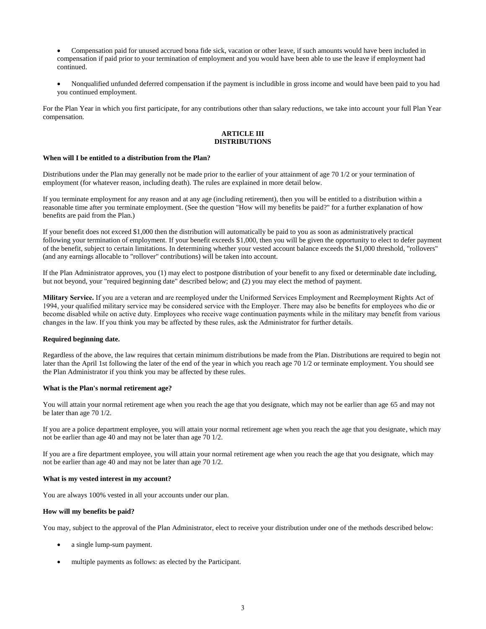Compensation paid for unused accrued bona fide sick, vacation or other leave, if such amounts would have been included in compensation if paid prior to your termination of employment and you would have been able to use the leave if employment had continued.

 Nonqualified unfunded deferred compensation if the payment is includible in gross income and would have been paid to you had you continued employment.

For the Plan Year in which you first participate, for any contributions other than salary reductions, we take into account your full Plan Year compensation*.* 

#### **ARTICLE III DISTRIBUTIONS**

## **When will I be entitled to a distribution from the Plan?**

Distributions under the Plan may generally not be made prior to the earlier of your attainment of age 70 1/2 or your termination of employment (for whatever reason, including death). The rules are explained in more detail below.

If you terminate employment for any reason and at any age (including retirement), then you will be entitled to a distribution within a reasonable time after you terminate employment. (See the question "How will my benefits be paid?" for a further explanation of how benefits are paid from the Plan.)

If your benefit does not exceed \$1,000 then the distribution will automatically be paid to you as soon as administratively practical following your termination of employment. If your benefit exceeds \$1,000, then you will be given the opportunity to elect to defer payment of the benefit, subject to certain limitations. In determining whether your vested account balance exceeds the \$1,000 threshold, "rollovers" (and any earnings allocable to "rollover" contributions) will be taken into account.

If the Plan Administrator approves, you (1) may elect to postpone distribution of your benefit to any fixed or determinable date including, but not beyond, your "required beginning date" described below; and (2) you may elect the method of payment.

**Military Service.** If you are a veteran and are reemployed under the Uniformed Services Employment and Reemployment Rights Act of 1994, your qualified military service may be considered service with the Employer. There may also be benefits for employees who die or become disabled while on active duty. Employees who receive wage continuation payments while in the military may benefit from various changes in the law. If you think you may be affected by these rules, ask the Administrator for further details.

#### **Required beginning date.**

Regardless of the above, the law requires that certain minimum distributions be made from the Plan. Distributions are required to begin not later than the April 1st following the later of the end of the year in which you reach age 70 1/2 or terminate employment. You should see the Plan Administrator if you think you may be affected by these rules.

#### **What is the Plan's normal retirement age?**

You will attain your normal retirement age when you reach the age that you designate, which may not be earlier than age 65 and may not be later than age 70 1/2.

If you are a police department employee, you will attain your normal retirement age when you reach the age that you designate, which may not be earlier than age 40 and may not be later than age 70 1/2.

If you are a fire department employee, you will attain your normal retirement age when you reach the age that you designate, which may not be earlier than age 40 and may not be later than age 70 1/2.

#### **What is my vested interest in my account?**

You are always 100% vested in all your accounts under our plan.

#### **How will my benefits be paid?**

You may, subject to the approval of the Plan Administrator, elect to receive your distribution under one of the methods described below:

- a single lump-sum payment.
- multiple payments as follows: as elected by the Participant.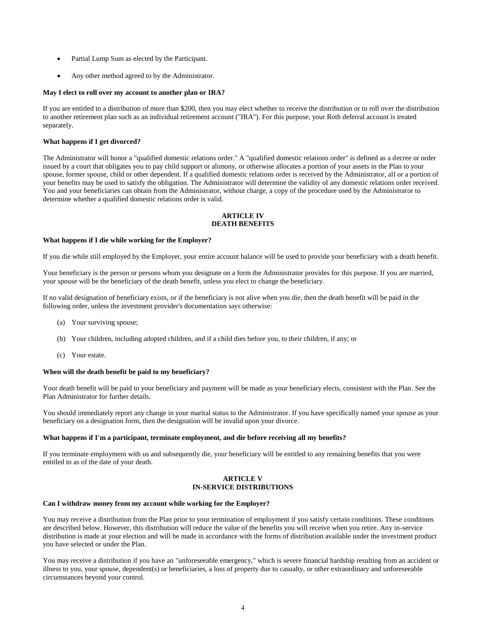- Partial Lump Sum as elected by the Participant.
- Any other method agreed to by the Administrator.

#### **May I elect to roll over my account to another plan or IRA?**

If you are entitled to a distribution of more than \$200, then you may elect whether to receive the distribution or to roll over the distribution to another retirement plan such as an individual retirement account ("IRA"). For this purpose, your Roth deferral account is treated separately.

## **What happens if I get divorced?**

The Administrator will honor a "qualified domestic relations order." A "qualified domestic relations order" is defined as a decree or order issued by a court that obligates you to pay child support or alimony, or otherwise allocates a portion of your assets in the Plan to your spouse, former spouse, child or other dependent. If a qualified domestic relations order is received by the Administrator, all or a portion of your benefits may be used to satisfy the obligation. The Administrator will determine the validity of any domestic relations order received. You and your beneficiaries can obtain from the Administrator, without charge, a copy of the procedure used by the Administrator to determine whether a qualified domestic relations order is valid.

## **ARTICLE IV DEATH BENEFITS**

#### **What happens if I die while working for the Employer?**

If you die while still employed by the Employer, your entire account balance will be used to provide your beneficiary with a death benefit.

Your beneficiary is the person or persons whom you designate on a form the Administrator provides for this purpose. If you are married, your spouse will be the beneficiary of the death benefit, unless you elect to change the beneficiary.

If no valid designation of beneficiary exists, or if the beneficiary is not alive when you die, then the death benefit will be paid in the following order, unless the investment provider's documentation says otherwise:

- (a) Your surviving spouse;
- (b) Your children, including adopted children, and if a child dies before you, to their children, if any; or
- (c) Your estate.

#### **When will the death benefit be paid to my beneficiary?**

Your death benefit will be paid to your beneficiary and payment will be made as your beneficiary elects, consistent with the Plan. See the Plan Administrator for further details.

You should immediately report any change in your marital status to the Administrator. If you have specifically named your spouse as your beneficiary on a designation form, then the designation will be invalid upon your divorce.

#### **What happens if I'm a participant, terminate employment, and die before receiving all my benefits?**

If you terminate employment with us and subsequently die, your beneficiary will be entitled to any remaining benefits that you were entitled to as of the date of your death.

#### **ARTICLE V IN-SERVICE DISTRIBUTIONS**

#### **Can I withdraw money from my account while working for the Employer?**

You may receive a distribution from the Plan prior to your termination of employment if you satisfy certain conditions. These conditions are described below. However, this distribution will reduce the value of the benefits you will receive when you retire. Any in-service distribution is made at your election and will be made in accordance with the forms of distribution available under the investment product you have selected or under the Plan.

You may receive a distribution if you have an "unforeseeable emergency," which is severe financial hardship resulting from an accident or illness to you, your spouse, dependent(s) or beneficiaries, a loss of property due to casualty, or other extraordinary and unforeseeable circumstances beyond your control.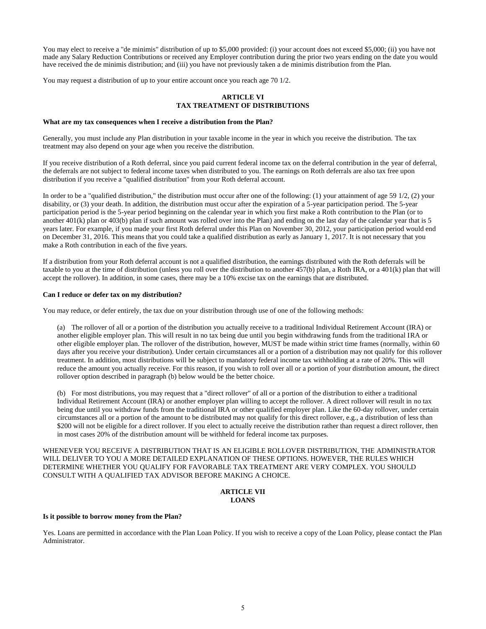You may elect to receive a "de minimis" distribution of up to \$5,000 provided: (i) your account does not exceed \$5,000; (ii) you have not made any Salary Reduction Contributions or received any Employer contribution during the prior two years ending on the date you would have received the de minimis distribution; and (iii) you have not previously taken a de minimis distribution from the Plan.

You may request a distribution of up to your entire account once you reach age 70 1/2.

## **ARTICLE VI TAX TREATMENT OF DISTRIBUTIONS**

#### **What are my tax consequences when I receive a distribution from the Plan?**

Generally, you must include any Plan distribution in your taxable income in the year in which you receive the distribution. The tax treatment may also depend on your age when you receive the distribution.

If you receive distribution of a Roth deferral, since you paid current federal income tax on the deferral contribution in the year of deferral, the deferrals are not subject to federal income taxes when distributed to you. The earnings on Roth deferrals are also tax free upon distribution if you receive a "qualified distribution" from your Roth deferral account.

In order to be a "qualified distribution," the distribution must occur after one of the following: (1) your attainment of age 59 1/2, (2) your disability, or (3) your death. In addition, the distribution must occur after the expiration of a 5-year participation period. The 5-year participation period is the 5-year period beginning on the calendar year in which you first make a Roth contribution to the Plan (or to another  $401(k)$  plan or  $403(b)$  plan if such amount was rolled over into the Plan) and ending on the last day of the calendar year that is 5 years later. For example, if you made your first Roth deferral under this Plan on November 30, 2012, your participation period would end on December 31, 2016. This means that you could take a qualified distribution as early as January 1, 2017. It is not necessary that you make a Roth contribution in each of the five years.

If a distribution from your Roth deferral account is not a qualified distribution, the earnings distributed with the Roth deferrals will be taxable to you at the time of distribution (unless you roll over the distribution to another 457(b) plan, a Roth IRA, or a 401(k) plan that will accept the rollover). In addition, in some cases, there may be a 10% excise tax on the earnings that are distributed.

#### **Can I reduce or defer tax on my distribution?**

You may reduce, or defer entirely, the tax due on your distribution through use of one of the following methods:

(a) The rollover of all or a portion of the distribution you actually receive to a traditional Individual Retirement Account (IRA) or another eligible employer plan. This will result in no tax being due until you begin withdrawing funds from the traditional IRA or other eligible employer plan. The rollover of the distribution, however, MUST be made within strict time frames (normally, within 60 days after you receive your distribution). Under certain circumstances all or a portion of a distribution may not qualify for this rollover treatment. In addition, most distributions will be subject to mandatory federal income tax withholding at a rate of 20%. This will reduce the amount you actually receive. For this reason, if you wish to roll over all or a portion of your distribution amount, the direct rollover option described in paragraph (b) below would be the better choice.

(b) For most distributions, you may request that a "direct rollover" of all or a portion of the distribution to either a traditional Individual Retirement Account (IRA) or another employer plan willing to accept the rollover. A direct rollover will result in no tax being due until you withdraw funds from the traditional IRA or other qualified employer plan. Like the 60-day rollover, under certain circumstances all or a portion of the amount to be distributed may not qualify for this direct rollover, e.g., a distribution of less than \$200 will not be eligible for a direct rollover. If you elect to actually receive the distribution rather than request a direct rollover, then in most cases 20% of the distribution amount will be withheld for federal income tax purposes.

WHENEVER YOU RECEIVE A DISTRIBUTION THAT IS AN ELIGIBLE ROLLOVER DISTRIBUTION, THE ADMINISTRATOR WILL DELIVER TO YOU A MORE DETAILED EXPLANATION OF THESE OPTIONS. HOWEVER, THE RULES WHICH DETERMINE WHETHER YOU QUALIFY FOR FAVORABLE TAX TREATMENT ARE VERY COMPLEX. YOU SHOULD CONSULT WITH A QUALIFIED TAX ADVISOR BEFORE MAKING A CHOICE.

## **ARTICLE VII LOANS**

# **Is it possible to borrow money from the Plan?**

Yes. Loans are permitted in accordance with the Plan Loan Policy. If you wish to receive a copy of the Loan Policy, please contact the Plan Administrator.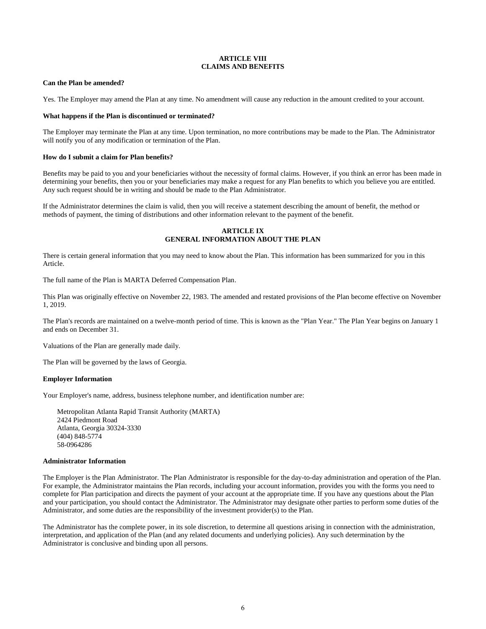## **ARTICLE VIII CLAIMS AND BENEFITS**

#### **Can the Plan be amended?**

Yes. The Employer may amend the Plan at any time. No amendment will cause any reduction in the amount credited to your account.

#### **What happens if the Plan is discontinued or terminated?**

The Employer may terminate the Plan at any time. Upon termination, no more contributions may be made to the Plan. The Administrator will notify you of any modification or termination of the Plan.

#### **How do I submit a claim for Plan benefits?**

Benefits may be paid to you and your beneficiaries without the necessity of formal claims. However, if you think an error has been made in determining your benefits, then you or your beneficiaries may make a request for any Plan benefits to which you believe you are entitled. Any such request should be in writing and should be made to the Plan Administrator.

If the Administrator determines the claim is valid, then you will receive a statement describing the amount of benefit, the method or methods of payment, the timing of distributions and other information relevant to the payment of the benefit.

### **ARTICLE IX GENERAL INFORMATION ABOUT THE PLAN**

There is certain general information that you may need to know about the Plan. This information has been summarized for you in this Article.

The full name of the Plan is MARTA Deferred Compensation Plan.

This Plan was originally effective on November 22, 1983. The amended and restated provisions of the Plan become effective on November 1, 2019.

The Plan's records are maintained on a twelve-month period of time. This is known as the "Plan Year." The Plan Year begins on January 1 and ends on December 31.

Valuations of the Plan are generally made daily.

The Plan will be governed by the laws of Georgia.

#### **Employer Information**

Your Employer's name, address, business telephone number, and identification number are:

Metropolitan Atlanta Rapid Transit Authority (MARTA) 2424 Piedmont Road Atlanta, Georgia 30324-3330 (404) 848-5774 58-0964286

#### **Administrator Information**

The Employer is the Plan Administrator. The Plan Administrator is responsible for the day-to-day administration and operation of the Plan. For example, the Administrator maintains the Plan records, including your account information, provides you with the forms you need to complete for Plan participation and directs the payment of your account at the appropriate time. If you have any questions about the Plan and your participation, you should contact the Administrator. The Administrator may designate other parties to perform some duties of the Administrator, and some duties are the responsibility of the investment provider(s) to the Plan.

The Administrator has the complete power, in its sole discretion, to determine all questions arising in connection with the administration, interpretation, and application of the Plan (and any related documents and underlying policies). Any such determination by the Administrator is conclusive and binding upon all persons.